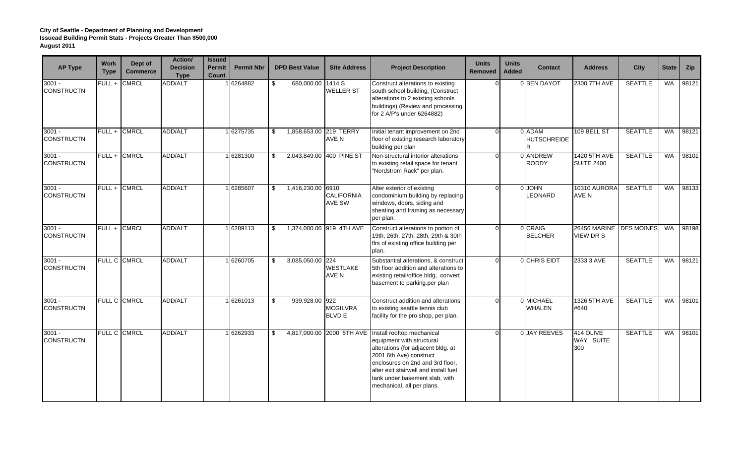| <b>AP Type</b>                | <b>Work</b><br><b>Type</b> | Dept of<br><b>Commerce</b> | <b>Action/</b><br><b>Decision</b><br><b>Type</b> | <b>Issued</b><br>Permit<br>Count | <b>Permit Nbr</b> |      | <b>DPD Best Value</b>  | <b>Site Address</b>              | <b>Project Description</b>                                                                                                                                                                                                                                                                      | <b>Units</b><br><b>Removed</b> | <b>Units</b><br><b>Added</b> | <b>Contact</b>               | <b>Address</b>                              | <b>City</b>    | <b>State</b> | Zip   |
|-------------------------------|----------------------------|----------------------------|--------------------------------------------------|----------------------------------|-------------------|------|------------------------|----------------------------------|-------------------------------------------------------------------------------------------------------------------------------------------------------------------------------------------------------------------------------------------------------------------------------------------------|--------------------------------|------------------------------|------------------------------|---------------------------------------------|----------------|--------------|-------|
| $3001 -$<br><b>CONSTRUCTN</b> |                            | FULL + CMRCL               | <b>ADD/ALT</b>                                   |                                  | 6264882           |      | 680,000.00 1414 S      | <b>WELLER ST</b>                 | Construct alterations to existing<br>south school building, (Construct<br>alterations to 2 existing schools<br>buildings) (Review and processing<br>for 2 A/P's under 6264882)                                                                                                                  |                                |                              | 0 BEN DAYOT                  | 2300 7TH AVE                                | <b>SEATTLE</b> | <b>WA</b>    | 98121 |
| $3001 -$<br><b>CONSTRUCTN</b> |                            | FULL + CMRCL               | <b>ADD/ALT</b>                                   |                                  | 1 6275735         | \$   | 1,858,653.00 219 TERRY | AVE N                            | Initial tenant improvement on 2nd<br>floor of existing research laboratory<br>building per plan                                                                                                                                                                                                 | $\Omega$                       |                              | 0 ADAM<br><b>HUTSCHREIDE</b> | 109 BELL ST                                 | <b>SEATTLE</b> | <b>WA</b>    | 98121 |
| $3001 -$<br><b>CONSTRUCTN</b> |                            | FULL + CMRCL               | <b>ADD/ALT</b>                                   |                                  | 1 6281300         | \$   |                        | 2,043,849.00 400 PINE ST         | Non-structural interior alterations<br>to existing retail space for tenant<br>"Nordstrom Rack" per plan.                                                                                                                                                                                        | $\Omega$                       |                              | 0 ANDREW<br><b>RODDY</b>     | 1420 5TH AVE<br><b>SUITE 2400</b>           | <b>SEATTLE</b> | <b>WA</b>    | 98101 |
| $3001 -$<br><b>CONSTRUCTN</b> |                            | FULL + CMRCL               | <b>ADD/ALT</b>                                   |                                  | 16285607          | - \$ | 1,416,230.00 6910      | <b>CALIFORNIA</b><br>AVE SW      | Alter exterior of existing<br>condominium building by replacing<br>windows, doors, siding and<br>sheating and framing as necessary<br>per plan.                                                                                                                                                 | $\Omega$                       |                              | 0 JOHN<br><b>LEONARD</b>     | 10310 AURORA<br>AVE N                       | <b>SEATTLE</b> | <b>WA</b>    | 98133 |
| $3001 -$<br><b>CONSTRUCTN</b> |                            | FULL + CMRCL               | <b>ADD/ALT</b>                                   |                                  | 16289113          | - \$ |                        | 1,374,000.00 919 4TH AVE         | Construct alterations to portion of<br>19th, 26th, 27th, 28th, 29th & 30th<br>firs of existing office building per<br>plan.                                                                                                                                                                     | $\Omega$                       |                              | 0 CRAIG<br><b>BELCHER</b>    | 26456 MARINE DES MOINES<br><b>VIEW DR S</b> |                | <b>WA</b>    | 98198 |
| $3001 -$<br><b>CONSTRUCTN</b> |                            | <b>FULL C CMRCL</b>        | <b>ADD/ALT</b>                                   |                                  | 6260705           | -\$  | 3,085,050.00 224       | <b>WESTLAKE</b><br>AVE N         | Substantial alterations, & construct<br>5th floor addition and alterations to<br>existing retail/office bldg, convert<br>basement to parking.per plan                                                                                                                                           |                                |                              | 0 CHRIS EIDT                 | 2333 3 AVE                                  | <b>SEATTLE</b> | <b>WA</b>    | 98121 |
| $3001 -$<br><b>CONSTRUCTN</b> |                            | FULL C CMRCL               | <b>ADD/ALT</b>                                   |                                  | 6261013           | - \$ | 939,928.00 922         | <b>MCGILVRA</b><br><b>BLVD E</b> | Construct addition and alterations<br>to existing seattle tennis club<br>facility for the pro shop, per plan.                                                                                                                                                                                   | $\Omega$                       |                              | 0 MICHAEL<br><b>WHALEN</b>   | 1326 5TH AVE<br>#640                        | <b>SEATTLE</b> | WA           | 98101 |
| $3001 -$<br><b>CONSTRUCTN</b> |                            | FULL C CMRCL               | <b>ADD/ALT</b>                                   |                                  | 6262933           | \$   |                        |                                  | 4,817,000.00 2000 5TH AVE Install rooftop mechanical<br>equipment with structural<br>alterations (for adjacent bldg. at<br>2001 6th Ave) construct<br>enclosures on 2nd and 3rd floor,<br>alter exit stairwell and install fuel<br>tank under basement slab, with<br>mechanical, all per plans. | $\Omega$                       |                              | 0 JAY REEVES                 | 414 OLIVE<br>WAY SUITE<br>300               | <b>SEATTLE</b> | <b>WA</b>    | 98101 |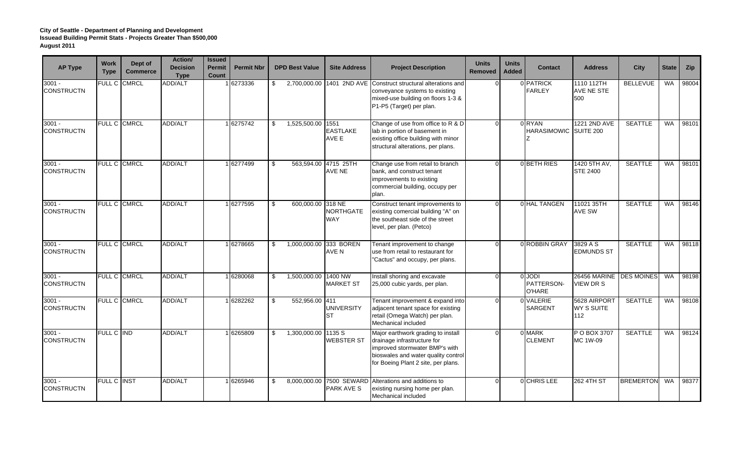| <b>AP Type</b>                | <b>Work</b><br><b>Type</b> | Dept of<br><b>Commerce</b> | <b>Action/</b><br><b>Decision</b><br><b>Type</b> | <b>Issued</b><br><b>Permit</b><br><b>Count</b> | <b>Permit Nbr</b> |                | <b>DPD Best Value</b>  | <b>Site Address</b>              | <b>Project Description</b>                                                                                                                                                        | <b>Units</b><br>Removed | <b>Units</b><br><b>Added</b> | <b>Contact</b>                        | <b>Address</b>                         | <b>City</b>      | <b>State</b> | Zip   |
|-------------------------------|----------------------------|----------------------------|--------------------------------------------------|------------------------------------------------|-------------------|----------------|------------------------|----------------------------------|-----------------------------------------------------------------------------------------------------------------------------------------------------------------------------------|-------------------------|------------------------------|---------------------------------------|----------------------------------------|------------------|--------------|-------|
| 3001 -<br><b>CONSTRUCTN</b>   |                            | FULL C CMRCL               | ADD/ALT                                          |                                                | 6273336           | \$.            | 2,700,000.00           |                                  | 1401 2ND AVE Construct structural alterations and<br>conveyance systems to existing<br>mixed-use building on floors 1-3 &<br>P1-P5 (Target) per plan.                             | $\Omega$                |                              | <b>OPATRICK</b><br><b>FARLEY</b>      | 1110 112TH<br>AVE NE STE<br>500        | <b>BELLEVUE</b>  | <b>WA</b>    | 98004 |
| $3001 -$<br><b>CONSTRUCTN</b> |                            | FULL C CMRCL               | <b>ADD/ALT</b>                                   |                                                | 6275742           | \$             | 1,525,500.00           | 1551<br><b>EASTLAKE</b><br>AVE E | Change of use from office to R & D<br>lab in portion of basement in<br>existing office building with minor<br>structural alterations, per plans.                                  | $\Omega$                |                              | 0 RYAN<br>HARASIMOWIC SUITE 200       | 1221 2ND AVE                           | <b>SEATTLE</b>   | WA           | 98101 |
| $3001 -$<br><b>CONSTRUCTN</b> |                            | FULL C CMRCL               | ADD/ALT                                          |                                                | 6277499           | \$             | 563.594.00             | 4715 25TH<br>AVE NE              | Change use from retail to branch<br>bank, and construct tenant<br>improvements to existing<br>commercial building, occupy per<br>plan.                                            | $\Omega$                |                              | 0 BETH RIES                           | 1420 5TH AV,<br><b>STE 2400</b>        | <b>SEATTLE</b>   | <b>WA</b>    | 98101 |
| $3001 -$<br><b>CONSTRUCTN</b> |                            | FULL C CMRCL               | ADD/ALT                                          |                                                | 6277595           | \$             | 600,000.00 318 NE      | <b>NORTHGATE</b><br>WAY          | Construct tenant improvements to<br>existing comercial building "A" on<br>the southeast side of the street<br>level, per plan. (Petco)                                            | $\Omega$                |                              | 0 HAL TANGEN                          | 11021 35TH<br><b>AVE SW</b>            | <b>SEATTLE</b>   | <b>WA</b>    | 98146 |
| $3001 -$<br><b>CONSTRUCTN</b> |                            | <b>FULL C CMRCL</b>        | <b>ADD/ALT</b>                                   |                                                | 1 6278665         | \$             | 1,000,000.00 333 BOREN | AVE N                            | Tenant improvement to change<br>use from retail to restaurant for<br>"Cactus" and occupy, per plans.                                                                              | $\Omega$                |                              | 0 ROBBIN GRAY                         | 3829 A S<br><b>EDMUNDS ST</b>          | <b>SEATTLE</b>   | <b>WA</b>    | 98118 |
| $3001 -$<br><b>CONSTRUCTN</b> |                            | FULL C CMRCL               | <b>ADD/ALT</b>                                   |                                                | 6280068           | \$             | 1,500,000.00           | 1400 NW<br><b>MARKET ST</b>      | Install shoring and excavate<br>25,000 cubic yards, per plan.                                                                                                                     | $\Omega$                |                              | 0 JODI<br>PATTERSON-<br><b>O'HARE</b> | 26456 MARINE   DES MOINES<br>VIEW DR S |                  | WA           | 98198 |
| $3001 -$<br><b>CONSTRUCTN</b> |                            | FULL C CMRCL               | ADD/ALT                                          |                                                | 6282262           | \$             | 552,956.00 411         | <b>UNIVERSITY</b><br><b>ST</b>   | Tenant improvement & expand into<br>adjacent tenant space for existing<br>retail (Omega Watch) per plan.<br>Mechanical included                                                   | $\Omega$                |                              | 0 VALERIE<br><b>SARGENT</b>           | 5628 AIRPORT<br>WY S SUITE<br>112      | <b>SEATTLE</b>   | WA           | 98108 |
| $3001 -$<br><b>CONSTRUCTN</b> | FULL C IND                 |                            | ADD/ALT                                          |                                                | 6265809           | $\mathfrak{L}$ | 1,300,000.00           | 1135 S<br><b>WEBSTER ST</b>      | Major earthwork grading to install<br>drainage infrastructure for<br>improved stormwater BMP's with<br>bioswales and water quality control<br>for Boeing Plant 2 site, per plans. | $\Omega$                |                              | 0 MARK<br><b>CLEMENT</b>              | P O BOX 3707<br>MC 1W-09               | <b>SEATTLE</b>   | <b>WA</b>    | 98124 |
| $3001 -$<br><b>CONSTRUCTN</b> | FULL C INST                |                            | ADD/ALT                                          |                                                | 6265946           | \$             | 8,000,000.00           | 7500 SEWARD<br>PARK AVE S        | Alterations and additions to<br>existing nursing home per plan.<br>Mechanical included                                                                                            | $\Omega$                |                              | 0 CHRIS LEE                           | 262 4TH ST                             | <b>BREMERTON</b> | <b>WA</b>    | 98377 |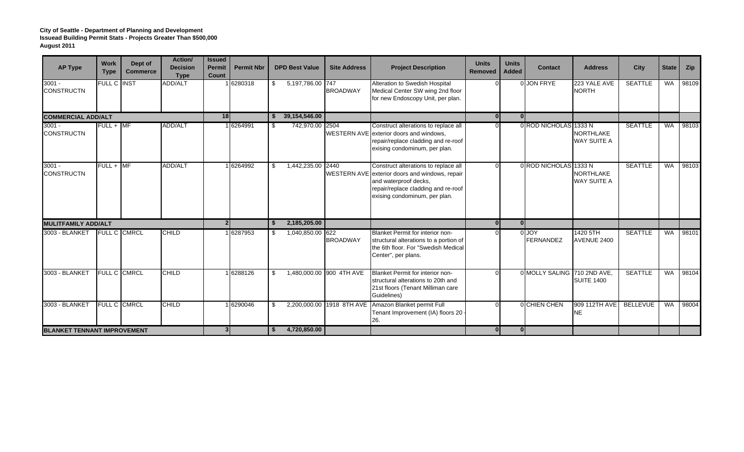| <b>AP Type</b>                     | <b>Work</b><br><b>Type</b> | Dept of<br><b>Commerce</b> | Action/<br><b>Decision</b><br><b>Type</b> | <b>Issued</b><br><b>Permit</b><br>Count | <b>Permit Nbr</b> |     | <b>DPD Best Value</b> | <b>Site Address</b>      | <b>Project Description</b>                                                                                                                                                              | <b>Units</b><br><b>Removed</b> | <b>Units</b><br><b>Added</b> | <b>Contact</b>              | <b>Address</b>                                  | City            | State     | Zip   |
|------------------------------------|----------------------------|----------------------------|-------------------------------------------|-----------------------------------------|-------------------|-----|-----------------------|--------------------------|-----------------------------------------------------------------------------------------------------------------------------------------------------------------------------------------|--------------------------------|------------------------------|-----------------------------|-------------------------------------------------|-----------------|-----------|-------|
| $3001 -$<br><b>CONSTRUCTN</b>      | <b>FULL C INST</b>         |                            | <b>ADD/ALT</b>                            |                                         | 6280318           | \$  | 5,197,786.00 747      | <b>BROADWAY</b>          | Alteration to Swedish Hospital<br>Medical Center SW wing 2nd floor<br>for new Endoscopy Unit, per plan.                                                                                 |                                |                              | 0 JON FRYE                  | 223 YALE AVE<br><b>NORTH</b>                    | <b>SEATTLE</b>  | <b>WA</b> | 98109 |
| <b>COMMERCIAL ADD/ALT</b>          |                            |                            |                                           | 18                                      |                   | S.  | 39,154,546.00         |                          |                                                                                                                                                                                         | 0 <sup>1</sup>                 | 0                            |                             |                                                 |                 |           |       |
| $3001 -$<br><b>CONSTRUCTN</b>      | $FULL + MF$                |                            | <b>ADD/ALT</b>                            |                                         | 1 6264991         | -\$ | 742,970.00 2504       |                          | Construct alterations to replace all<br>WESTERN AVE exterior doors and windows,<br>repair/replace cladding and re-roof<br>exising condominum, per plan.                                 | $\Omega$                       |                              | 0 ROD NICHOLAS 1333 N       | <b>NORTHLAKE</b><br><b>WAY SUITE A</b>          | <b>SEATTLE</b>  | WA        | 98103 |
| $3001 -$<br><b>CONSTRUCTN</b>      | $FULL + IMF$               |                            | <b>ADD/ALT</b>                            |                                         | 6264992           | \$. | 1,442,235.00          | 2440                     | Construct alterations to replace all<br>WESTERN AVE exterior doors and windows, repair<br>and waterproof decks,<br>repair/replace cladding and re-roof<br>exising condominum, per plan. | $\Omega$                       |                              | 0 ROD NICHOLAS              | 1333N<br><b>NORTHLAKE</b><br><b>WAY SUITE A</b> | <b>SEATTLE</b>  | <b>WA</b> | 98103 |
| <b>MULITFAMILY ADD/ALT</b>         |                            |                            |                                           | 2 <sup>1</sup>                          |                   | -S  | 2,185,205.00          |                          |                                                                                                                                                                                         | $\overline{0}$                 | $\overline{0}$               |                             |                                                 |                 |           |       |
| 3003 - BLANKET                     | <b>FULL C CMRCL</b>        |                            | <b>CHILD</b>                              |                                         | 6287953           | \$. | 1,040,850.00 622      | <b>BROADWAY</b>          | <b>Blanket Permit for interior non-</b><br>structural alterations to a portion of<br>the 6th floor. For "Swedish Medical<br>Center", per plans.                                         |                                |                              | 0 JOY<br><b>FERNANDEZ</b>   | 1420 5TH<br>AVENUE 2400                         | <b>SEATTLE</b>  | <b>WA</b> | 98101 |
| 3003 - BLANKET                     | <b>FULL C CMRCL</b>        |                            | <b>CHILD</b>                              |                                         | 6288126           | \$  |                       | 1,480,000.00 900 4TH AVE | Blanket Permit for interior non-<br>structural alterations to 20th and<br>21st floors (Tenant Milliman care<br>Guidelines)                                                              | $\Omega$                       |                              | 0 MOLLY SALING 710 2ND AVE, | <b>SUITE 1400</b>                               | <b>SEATTLE</b>  | <b>WA</b> | 98104 |
| 3003 - BLANKET                     |                            | <b>FULL C CMRCL</b>        | <b>CHILD</b>                              |                                         | 6290046           | \$  | 2,200,000.00          | 1918 8TH AVE             | Amazon Blanket permit Full<br>Tenant Improvement (IA) floors 20<br>26.                                                                                                                  | $\Omega$                       |                              | OCHIEN CHEN                 | 909 112TH AVE<br><b>NE</b>                      | <b>BELLEVUE</b> | <b>WA</b> | 98004 |
| <b>BLANKET TENNANT IMPROVEMENT</b> |                            |                            |                                           | 3 <sup>1</sup>                          |                   | S.  | 4,720,850.00          |                          |                                                                                                                                                                                         | 0 <sup>1</sup>                 | 0                            |                             |                                                 |                 |           |       |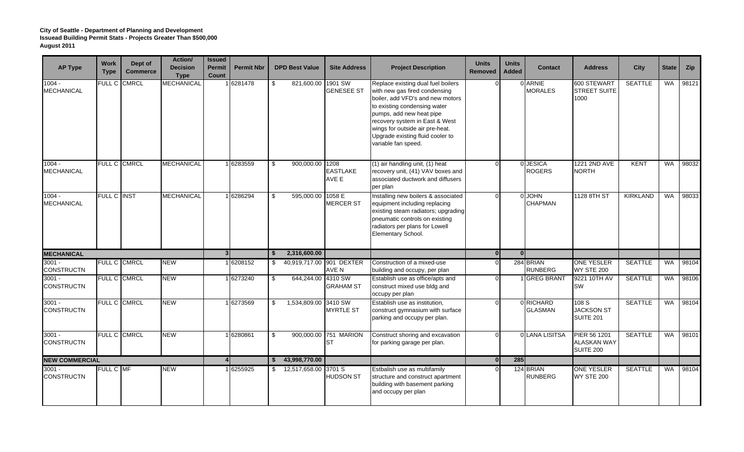| <b>AP Type</b>                | <b>Work</b><br><b>Type</b> | Dept of<br><b>Commerce</b> | <b>Action/</b><br><b>Decision</b><br><b>Type</b> | <b>Issued</b><br>Permit<br>Count | <b>Permit Nbr</b> |                | <b>DPD Best Value</b>    | <b>Site Address</b>                | <b>Project Description</b>                                                                                                                                                                                                                                                                          | <b>Units</b><br><b>Removed</b> | <b>Units</b><br>Added | <b>Contact</b>              | <b>Address</b>                                         | <b>City</b>     | <b>State</b> | Zip   |
|-------------------------------|----------------------------|----------------------------|--------------------------------------------------|----------------------------------|-------------------|----------------|--------------------------|------------------------------------|-----------------------------------------------------------------------------------------------------------------------------------------------------------------------------------------------------------------------------------------------------------------------------------------------------|--------------------------------|-----------------------|-----------------------------|--------------------------------------------------------|-----------------|--------------|-------|
| $1004 -$<br><b>MECHANICAL</b> | FULL C                     | <b>CMRCL</b>               | <b>MECHANICAL</b>                                |                                  | 6281478           | \$             | 821,600.00               | 1901 SW<br><b>GENESEE ST</b>       | Replace existing dual fuel boilers<br>with new gas fired condensing<br>boiler, add VFD's and new motors<br>to existing condensing water<br>pumps, add new heat pipe<br>recovery system in East & West<br>wings for outside air pre-heat.<br>Upgrade existing fluid cooler to<br>variable fan speed. |                                |                       | ARNIE<br><b>MORALES</b>     | 600 STEWART<br><b>STREET SUITE</b><br>1000             | <b>SEATTLE</b>  | <b>WA</b>    | 98121 |
| $1004 -$<br><b>MECHANICAL</b> |                            | FULL C CMRCL               | <b>MECHANICAL</b>                                |                                  | 6283559           | $\mathfrak{L}$ | 900,000.00 1208          | <b>EASTLAKE</b><br>AVE E           | $(1)$ air handling unit, $(1)$ heat<br>recovery unit, (41) VAV boxes and<br>associated ductwork and diffusers<br>per plan                                                                                                                                                                           | $\Omega$                       |                       | 0 JESICA<br><b>ROGERS</b>   | 1221 2ND AVE<br><b>NORTH</b>                           | <b>KENT</b>     | <b>WA</b>    | 98032 |
| $1004 -$<br><b>MECHANICAL</b> | FULL C INST                |                            | MECHANICAL                                       |                                  | 6286294           | -S             | 595,000.00 1058 E        | <b>MERCER ST</b>                   | Installing new boilers & associated<br>equipment including replacing<br>existing steam radiators; upgrading<br>pneumatic controls on existing<br>radiators per plans for Lowell<br>Elementary School.                                                                                               | $\Omega$                       |                       | 0 JOHN<br><b>CHAPMAN</b>    | 1128 8TH ST                                            | <b>KIRKLAND</b> | <b>WA</b>    | 98033 |
| <b>MECHANICAL</b>             |                            |                            |                                                  | 3                                |                   | Ŝ.             | 2,316,600.00             |                                    |                                                                                                                                                                                                                                                                                                     | $\overline{0}$                 | 0l                    |                             |                                                        |                 |              |       |
| $3001 -$<br><b>CONSTRUCTN</b> |                            | FULL C CMRCL               | <b>NEW</b>                                       |                                  | 1 6208152         | \$             | 40,919,717.00 901 DEXTER | AVE N                              | Construction of a mixed-use<br>building and occupy, per plan                                                                                                                                                                                                                                        | $\Omega$                       |                       | 284 BRIAN<br><b>RUNBERG</b> | <b>ONE YESLER</b><br><b>WY STE 200</b>                 | <b>SEATTLE</b>  | <b>WA</b>    | 98104 |
| $3001 -$<br><b>CONSTRUCTN</b> |                            | FULL C CMRCL               | <b>NEW</b>                                       |                                  | 1 6273240         | $\$\$          | 644,244.00 4310 SW       | <b>GRAHAM ST</b>                   | Establish use as office/apts and<br>construct mixed use bldg and<br>occupy per plan                                                                                                                                                                                                                 | $\Omega$                       |                       | <b>GREG BRANT</b>           | 9221 10TH AV<br><b>SW</b>                              | <b>SEATTLE</b>  | WA           | 98106 |
| $3001 -$<br><b>CONSTRUCTN</b> |                            | FULL C CMRCL               | <b>NEW</b>                                       |                                  | 16273569          | \$             | 1,534,809.00 3410 SW     | <b>MYRTLE ST</b>                   | Establish use as institution,<br>construct gymnasium with surface<br>parking and occupy per plan.                                                                                                                                                                                                   | $\Omega$                       |                       | 0 RICHARD<br><b>GLASMAN</b> | 108 S<br><b>JACKSON ST</b><br><b>SUITE 201</b>         | <b>SEATTLE</b>  | <b>WA</b>    | 98104 |
| $3001 -$<br><b>CONSTRUCTN</b> |                            | FULL C CMRCL               | <b>NEW</b>                                       |                                  | 1 6280861         | \$             |                          | 900,000.00 751 MARION<br><b>ST</b> | Construct shoring and excavation<br>for parking garage per plan.                                                                                                                                                                                                                                    | $\Omega$                       |                       | 0 LANA LISITSA              | PIER 56 1201<br><b>ALASKAN WAY</b><br><b>SUITE 200</b> | <b>SEATTLE</b>  | WA           | 98101 |
| <b>NEW COMMERCIAL</b>         |                            |                            |                                                  |                                  |                   | \$             | 43,998,770.00            |                                    |                                                                                                                                                                                                                                                                                                     | $\mathbf{0}$                   | 285                   |                             |                                                        |                 |              |       |
| $3001 -$<br><b>CONSTRUCTN</b> | FULL C MF                  |                            | <b>NEW</b>                                       |                                  | 6255925           |                | $$12,517,658.00$ 3701 S  | <b>HUDSON ST</b>                   | Estbalish use as multifamily<br>structure and construct apartment<br>building with basement parking<br>and occupy per plan                                                                                                                                                                          | $\Omega$                       |                       | 124 BRIAN<br><b>RUNBERG</b> | <b>ONE YESLER</b><br><b>WY STE 200</b>                 | <b>SEATTLE</b>  | <b>WA</b>    | 98104 |